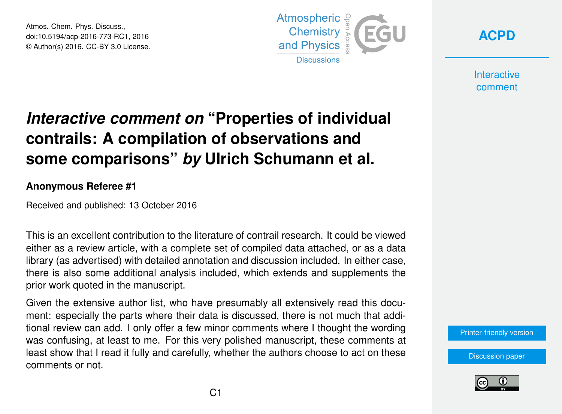Atmos. Chem. Phys. Discuss., doi:10.5194/acp-2016-773-RC1, 2016 © Author(s) 2016. CC-BY 3.0 License.



**[ACPD](http://www.atmos-chem-phys-discuss.net/)**

**Interactive** comment

## *Interactive comment on* **"Properties of individual contrails: A compilation of observations and some comparisons"** *by* **Ulrich Schumann et al.**

**Anonymous Referee #1**

Received and published: 13 October 2016

This is an excellent contribution to the literature of contrail research. It could be viewed either as a review article, with a complete set of compiled data attached, or as a data library (as advertised) with detailed annotation and discussion included. In either case, there is also some additional analysis included, which extends and supplements the prior work quoted in the manuscript.

Given the extensive author list, who have presumably all extensively read this document: especially the parts where their data is discussed, there is not much that additional review can add. I only offer a few minor comments where I thought the wording was confusing, at least to me. For this very polished manuscript, these comments at least show that I read it fully and carefully, whether the authors choose to act on these comments or not.

[Printer-friendly version](http://www.atmos-chem-phys-discuss.net/acp-2016-773/acp-2016-773-RC1-print.pdf)

[Discussion paper](http://www.atmos-chem-phys-discuss.net/acp-2016-773)